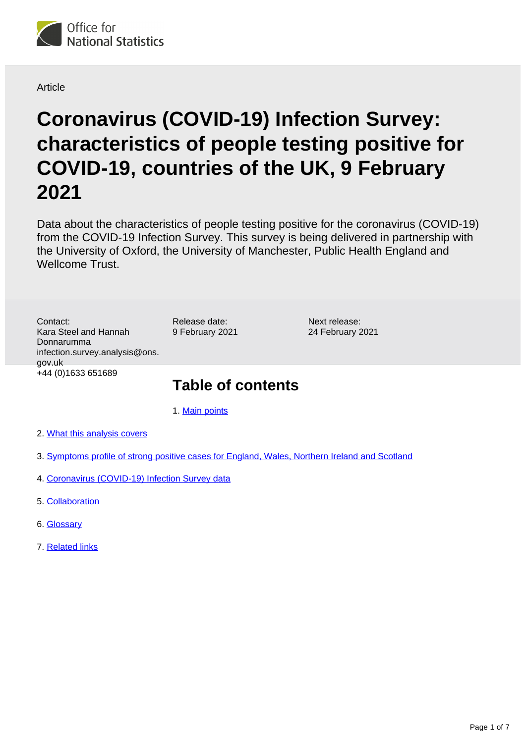

**Article** 

# **Coronavirus (COVID-19) Infection Survey: characteristics of people testing positive for COVID-19, countries of the UK, 9 February 2021**

Data about the characteristics of people testing positive for the coronavirus (COVID-19) from the COVID-19 Infection Survey. This survey is being delivered in partnership with the University of Oxford, the University of Manchester, Public Health England and Wellcome Trust.

Contact: Kara Steel and Hannah Donnarumma infection.survey.analysis@ons. gov.uk +44 (0)1633 651689

Release date: 9 February 2021

Next release: 24 February 2021

# **Table of contents**

- 1. [Main points](#page-1-0)
- 2. [What this analysis covers](#page-1-1)
- 3. [Symptoms profile of strong positive cases for England, Wales, Northern Ireland and Scotland](#page-1-2)
- 4. [Coronavirus \(COVID-19\) Infection Survey data](#page-4-0)
- 5. [Collaboration](#page-4-1)
- 6. [Glossary](#page-5-0)
- 7. [Related links](#page-6-0)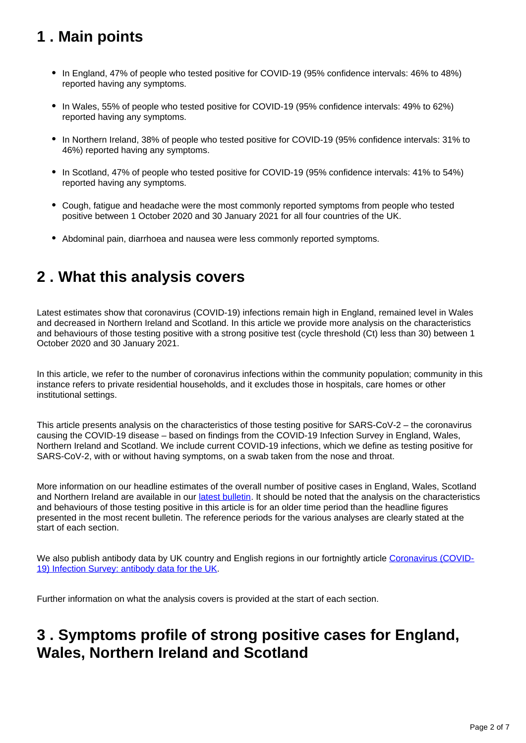# <span id="page-1-0"></span>**1 . Main points**

- In England, 47% of people who tested positive for COVID-19 (95% confidence intervals: 46% to 48%) reported having any symptoms.
- In Wales, 55% of people who tested positive for COVID-19 (95% confidence intervals: 49% to 62%) reported having any symptoms.
- In Northern Ireland, 38% of people who tested positive for COVID-19 (95% confidence intervals: 31% to 46%) reported having any symptoms.
- In Scotland, 47% of people who tested positive for COVID-19 (95% confidence intervals: 41% to 54%) reported having any symptoms.
- Cough, fatigue and headache were the most commonly reported symptoms from people who tested positive between 1 October 2020 and 30 January 2021 for all four countries of the UK.
- Abdominal pain, diarrhoea and nausea were less commonly reported symptoms.

### <span id="page-1-1"></span>**2 . What this analysis covers**

Latest estimates show that coronavirus (COVID-19) infections remain high in England, remained level in Wales and decreased in Northern Ireland and Scotland. In this article we provide more analysis on the characteristics and behaviours of those testing positive with a strong positive test (cycle threshold (Ct) less than 30) between 1 October 2020 and 30 January 2021.

In this article, we refer to the number of coronavirus infections within the community population; community in this instance refers to private residential households, and it excludes those in hospitals, care homes or other institutional settings.

This article presents analysis on the characteristics of those testing positive for SARS-CoV-2 – the coronavirus causing the COVID-19 disease – based on findings from the COVID-19 Infection Survey in England, Wales, Northern Ireland and Scotland. We include current COVID-19 infections, which we define as testing positive for SARS-CoV-2, with or without having symptoms, on a swab taken from the nose and throat.

More information on our headline estimates of the overall number of positive cases in England, Wales, Scotland and Northern Ireland are available in our [latest bulletin](https://www.ons.gov.uk/peoplepopulationandcommunity/healthandsocialcare/conditionsanddiseases/bulletins/coronaviruscovid19infectionsurveypilot/latest). It should be noted that the analysis on the characteristics and behaviours of those testing positive in this article is for an older time period than the headline figures presented in the most recent bulletin. The reference periods for the various analyses are clearly stated at the start of each section.

We also publish antibody data by UK country and English regions in our fortnightly article [Coronavirus \(COVID-](https://www.ons.gov.uk/peoplepopulationandcommunity/healthandsocialcare/conditionsanddiseases/articles/coronaviruscovid19infectionsurveyantibodydatafortheuk/latest)[19\) Infection Survey: antibody data for the UK.](https://www.ons.gov.uk/peoplepopulationandcommunity/healthandsocialcare/conditionsanddiseases/articles/coronaviruscovid19infectionsurveyantibodydatafortheuk/latest)

Further information on what the analysis covers is provided at the start of each section.

# <span id="page-1-2"></span>**3 . Symptoms profile of strong positive cases for England, Wales, Northern Ireland and Scotland**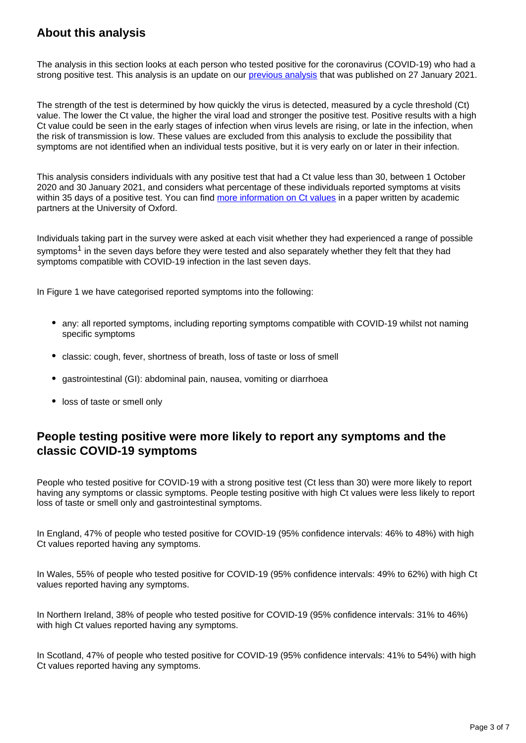### **About this analysis**

The analysis in this section looks at each person who tested positive for the coronavirus (COVID-19) who had a strong positive test. This analysis is an update on our [previous analysis](https://www.ons.gov.uk/peoplepopulationandcommunity/healthandsocialcare/conditionsanddiseases/articles/coronaviruscovid19infectionsinthecommunityinengland/characteristicsofpeopletestingpositiveforcovid19inengland27january2021) that was published on 27 January 2021.

The strength of the test is determined by how quickly the virus is detected, measured by a cycle threshold (Ct) value. The lower the Ct value, the higher the viral load and stronger the positive test. Positive results with a high Ct value could be seen in the early stages of infection when virus levels are rising, or late in the infection, when the risk of transmission is low. These values are excluded from this analysis to exclude the possibility that symptoms are not identified when an individual tests positive, but it is very early on or later in their infection.

This analysis considers individuals with any positive test that had a Ct value less than 30, between 1 October 2020 and 30 January 2021, and considers what percentage of these individuals reported symptoms at visits within 35 days of a positive test. You can find [more information on Ct values](https://www.medrxiv.org/content/10.1101/2020.10.25.20219048v1) in a paper written by academic partners at the University of Oxford.

Individuals taking part in the survey were asked at each visit whether they had experienced a range of possible symptoms<sup>1</sup> in the seven days before they were tested and also separately whether they felt that they had symptoms compatible with COVID-19 infection in the last seven days.

In Figure 1 we have categorised reported symptoms into the following:

- any: all reported symptoms, including reporting symptoms compatible with COVID-19 whilst not naming specific symptoms
- classic: cough, fever, shortness of breath, loss of taste or loss of smell
- gastrointestinal (GI): abdominal pain, nausea, vomiting or diarrhoea
- loss of taste or smell only

### **People testing positive were more likely to report any symptoms and the classic COVID-19 symptoms**

People who tested positive for COVID-19 with a strong positive test (Ct less than 30) were more likely to report having any symptoms or classic symptoms. People testing positive with high Ct values were less likely to report loss of taste or smell only and gastrointestinal symptoms.

In England, 47% of people who tested positive for COVID-19 (95% confidence intervals: 46% to 48%) with high Ct values reported having any symptoms.

In Wales, 55% of people who tested positive for COVID-19 (95% confidence intervals: 49% to 62%) with high Ct values reported having any symptoms.

In Northern Ireland, 38% of people who tested positive for COVID-19 (95% confidence intervals: 31% to 46%) with high Ct values reported having any symptoms.

In Scotland, 47% of people who tested positive for COVID-19 (95% confidence intervals: 41% to 54%) with high Ct values reported having any symptoms.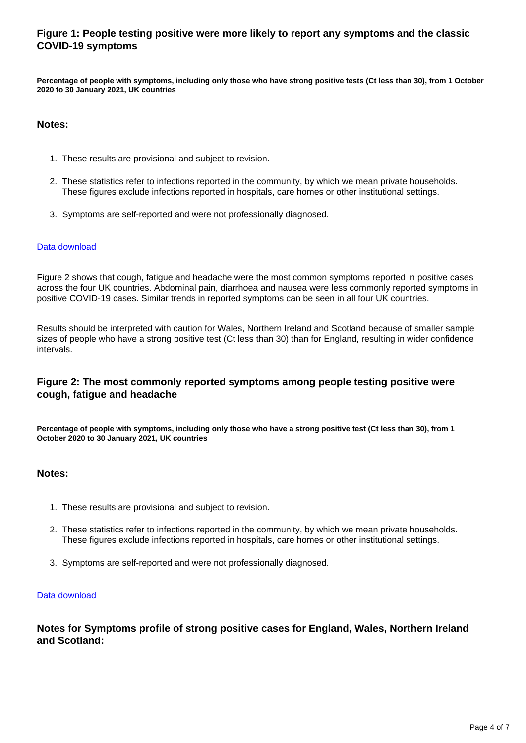### **Figure 1: People testing positive were more likely to report any symptoms and the classic COVID-19 symptoms**

**Percentage of people with symptoms, including only those who have strong positive tests (Ct less than 30), from 1 October 2020 to 30 January 2021, UK countries**

### **Notes:**

- 1. These results are provisional and subject to revision.
- 2. These statistics refer to infections reported in the community, by which we mean private households. These figures exclude infections reported in hospitals, care homes or other institutional settings.
- 3. Symptoms are self-reported and were not professionally diagnosed.

#### [Data download](https://www.ons.gov.uk/visualisations/dvc1181/symptomcat/datadownload.xlsx)

Figure 2 shows that cough, fatigue and headache were the most common symptoms reported in positive cases across the four UK countries. Abdominal pain, diarrhoea and nausea were less commonly reported symptoms in positive COVID-19 cases. Similar trends in reported symptoms can be seen in all four UK countries.

Results should be interpreted with caution for Wales, Northern Ireland and Scotland because of smaller sample sizes of people who have a strong positive test (Ct less than 30) than for England, resulting in wider confidence intervals.

### **Figure 2: The most commonly reported symptoms among people testing positive were cough, fatigue and headache**

**Percentage of people with symptoms, including only those who have a strong positive test (Ct less than 30), from 1 October 2020 to 30 January 2021, UK countries**

### **Notes:**

- 1. These results are provisional and subject to revision.
- 2. These statistics refer to infections reported in the community, by which we mean private households. These figures exclude infections reported in hospitals, care homes or other institutional settings.
- 3. Symptoms are self-reported and were not professionally diagnosed.

### [Data download](https://www.ons.gov.uk/visualisations/dvc1181/symptomsall/datadownload.xlsx)

**Notes for Symptoms profile of strong positive cases for England, Wales, Northern Ireland and Scotland:**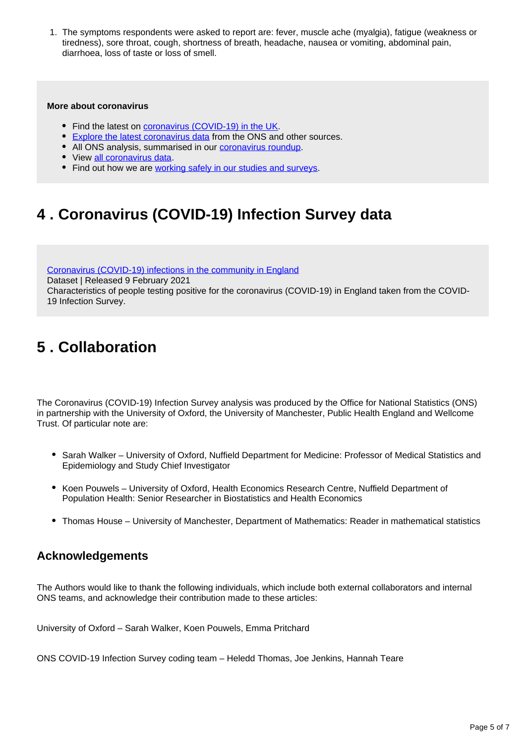1. The symptoms respondents were asked to report are: fever, muscle ache (myalgia), fatigue (weakness or tiredness), sore throat, cough, shortness of breath, headache, nausea or vomiting, abdominal pain, diarrhoea, loss of taste or loss of smell.

#### **More about coronavirus**

- Find the latest on [coronavirus \(COVID-19\) in the UK.](https://www.ons.gov.uk/peoplepopulationandcommunity/healthandsocialcare/conditionsanddiseases)
- **[Explore the latest coronavirus data](https://www.ons.gov.uk/peoplepopulationandcommunity/healthandsocialcare/conditionsanddiseases/articles/coronaviruscovid19/latestinsights) from the ONS and other sources.**
- All ONS analysis, summarised in our [coronavirus roundup.](https://www.ons.gov.uk/peoplepopulationandcommunity/healthandsocialcare/conditionsanddiseases/articles/coronaviruscovid19roundup/latest)
- View [all coronavirus data](https://www.ons.gov.uk/peoplepopulationandcommunity/healthandsocialcare/conditionsanddiseases/datalist).
- Find out how we are [working safely in our studies and surveys.](https://www.ons.gov.uk/news/statementsandletters/ensuringyoursafetyduringcovid19)

### <span id="page-4-0"></span>**4 . Coronavirus (COVID-19) Infection Survey data**

[Coronavirus \(COVID-19\) infections in the community in England](https://www.ons.gov.uk/peoplepopulationandcommunity/healthandsocialcare/conditionsanddiseases/datasets/coronaviruscovid19infectionsinthecommunityinengland)

Dataset | Released 9 February 2021 Characteristics of people testing positive for the coronavirus (COVID-19) in England taken from the COVID-19 Infection Survey.

### <span id="page-4-1"></span>**5 . Collaboration**

The Coronavirus (COVID-19) Infection Survey analysis was produced by the Office for National Statistics (ONS) in partnership with the University of Oxford, the University of Manchester, Public Health England and Wellcome Trust. Of particular note are:

- Sarah Walker University of Oxford, Nuffield Department for Medicine: Professor of Medical Statistics and Epidemiology and Study Chief Investigator
- Koen Pouwels University of Oxford, Health Economics Research Centre, Nuffield Department of Population Health: Senior Researcher in Biostatistics and Health Economics
- Thomas House University of Manchester, Department of Mathematics: Reader in mathematical statistics

### **Acknowledgements**

The Authors would like to thank the following individuals, which include both external collaborators and internal ONS teams, and acknowledge their contribution made to these articles:

University of Oxford – Sarah Walker, Koen Pouwels, Emma Pritchard

ONS COVID-19 Infection Survey coding team – Heledd Thomas, Joe Jenkins, Hannah Teare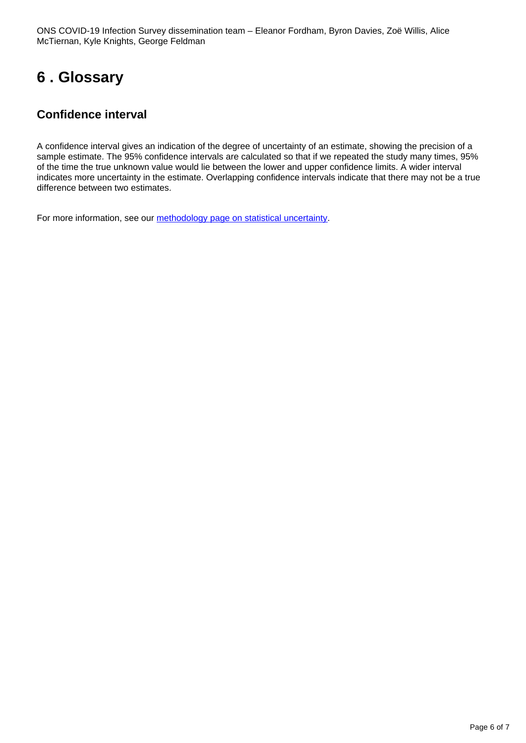# <span id="page-5-0"></span>**6 . Glossary**

### **Confidence interval**

A confidence interval gives an indication of the degree of uncertainty of an estimate, showing the precision of a sample estimate. The 95% confidence intervals are calculated so that if we repeated the study many times, 95% of the time the true unknown value would lie between the lower and upper confidence limits. A wider interval indicates more uncertainty in the estimate. Overlapping confidence intervals indicate that there may not be a true difference between two estimates.

For more information, see our [methodology page on statistical uncertainty.](https://www.ons.gov.uk/methodology/methodologytopicsandstatisticalconcepts/uncertaintyandhowwemeasureit)